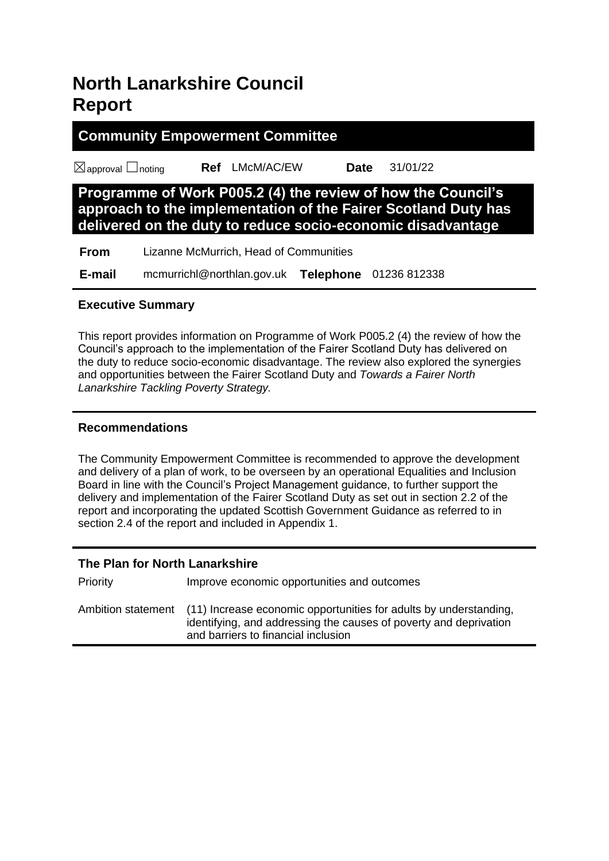# **North Lanarkshire Council Report**

# **Community Empowerment Committee**

☒approval ☐noting **Ref** LMcM/AC/EW **Date** 31/01/22

**Programme of Work P005.2 (4) the review of how the Council's approach to the implementation of the Fairer Scotland Duty has delivered on the duty to reduce socio-economic disadvantage**

| <b>From</b> | Lizanne McMurrich, Head of Communities |
|-------------|----------------------------------------|
|-------------|----------------------------------------|

 **E-mail** mcmurrichl@northlan.gov.uk **Telephone** 01236 812338

# **Executive Summary**

This report provides information on Programme of Work P005.2 (4) the review of how the Council's approach to the implementation of the Fairer Scotland Duty has delivered on the duty to reduce socio-economic disadvantage. The review also explored the synergies and opportunities between the Fairer Scotland Duty and *Towards a Fairer North Lanarkshire Tackling Poverty Strategy.*

# **Recommendations**

The Community Empowerment Committee is recommended to approve the development and delivery of a plan of work, to be overseen by an operational Equalities and Inclusion Board in line with the Council's Project Management guidance, to further support the delivery and implementation of the Fairer Scotland Duty as set out in section 2.2 of the report and incorporating the updated Scottish Government Guidance as referred to in section 2.4 of the report and included in Appendix 1.

# **The Plan for North Lanarkshire**

| Priority | Improve economic opportunities and outcomes                                                                                                                                                      |
|----------|--------------------------------------------------------------------------------------------------------------------------------------------------------------------------------------------------|
|          | Ambition statement (11) Increase economic opportunities for adults by understanding,<br>identifying, and addressing the causes of poverty and deprivation<br>and barriers to financial inclusion |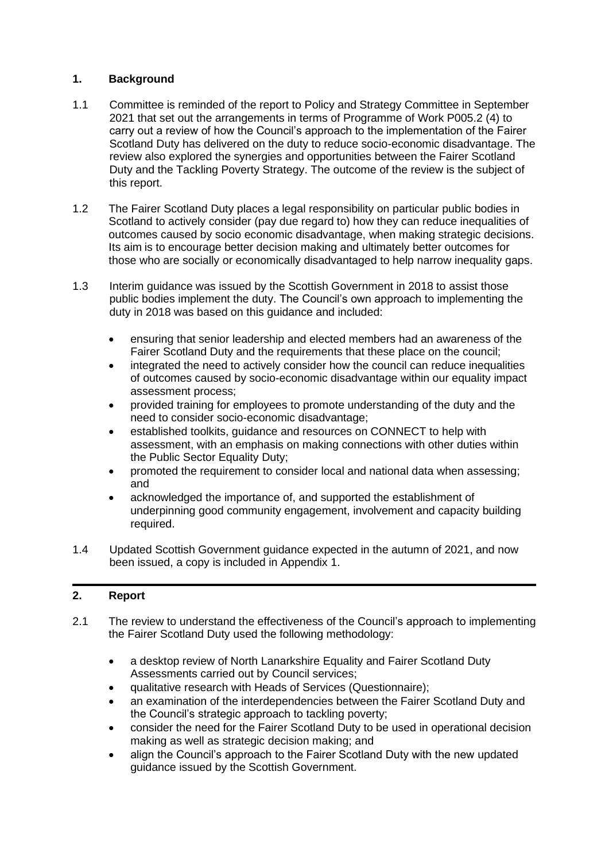# **1. Background**

- 1.1 Committee is reminded of the report to Policy and Strategy Committee in September 2021 that set out the arrangements in terms of Programme of Work P005.2 (4) to carry out a review of how the Council's approach to the implementation of the Fairer Scotland Duty has delivered on the duty to reduce socio-economic disadvantage. The review also explored the synergies and opportunities between the Fairer Scotland Duty and the Tackling Poverty Strategy. The outcome of the review is the subject of this report.
- 1.2 The Fairer Scotland Duty places a legal responsibility on particular public bodies in Scotland to actively consider (pay due regard to) how they can reduce inequalities of outcomes caused by socio economic disadvantage, when making strategic decisions. Its aim is to encourage better decision making and ultimately better outcomes for those who are socially or economically disadvantaged to help narrow inequality gaps.
- 1.3 Interim guidance was issued by the Scottish Government in 2018 to assist those public bodies implement the duty. The Council's own approach to implementing the duty in 2018 was based on this guidance and included:
	- ensuring that senior leadership and elected members had an awareness of the Fairer Scotland Duty and the requirements that these place on the council;
	- integrated the need to actively consider how the council can reduce inequalities of outcomes caused by socio-economic disadvantage within our equality impact assessment process;
	- provided training for employees to promote understanding of the duty and the need to consider socio-economic disadvantage;
	- established toolkits, guidance and resources on CONNECT to help with assessment, with an emphasis on making connections with other duties within the Public Sector Equality Duty;
	- promoted the requirement to consider local and national data when assessing; and
	- acknowledged the importance of, and supported the establishment of underpinning good community engagement, involvement and capacity building required.
- 1.4 Updated Scottish Government guidance expected in the autumn of 2021, and now been issued, a copy is included in Appendix 1.

# **2. Report**

- 2.1 The review to understand the effectiveness of the Council's approach to implementing the Fairer Scotland Duty used the following methodology:
	- a desktop review of North Lanarkshire Equality and Fairer Scotland Duty Assessments carried out by Council services;
	- qualitative research with Heads of Services (Questionnaire);
	- an examination of the interdependencies between the Fairer Scotland Duty and the Council's strategic approach to tackling poverty;
	- consider the need for the Fairer Scotland Duty to be used in operational decision making as well as strategic decision making; and
	- align the Council's approach to the Fairer Scotland Duty with the new updated guidance issued by the Scottish Government.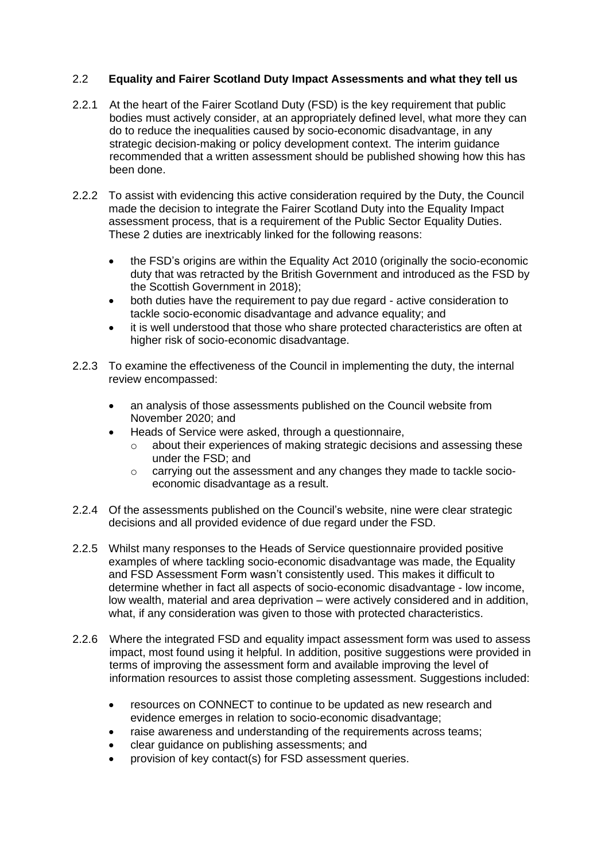## 2.2 **Equality and Fairer Scotland Duty Impact Assessments and what they tell us**

- 2.2.1 At the heart of the Fairer Scotland Duty (FSD) is the key requirement that public bodies must actively consider, at an appropriately defined level, what more they can do to reduce the inequalities caused by socio-economic disadvantage, in any strategic decision-making or policy development context. The interim guidance recommended that a written assessment should be published showing how this has been done.
- 2.2.2 To assist with evidencing this active consideration required by the Duty, the Council made the decision to integrate the Fairer Scotland Duty into the Equality Impact assessment process, that is a requirement of the Public Sector Equality Duties. These 2 duties are inextricably linked for the following reasons:
	- the FSD's origins are within the Equality Act 2010 (originally the socio-economic duty that was retracted by the British Government and introduced as the FSD by the Scottish Government in 2018);
	- both duties have the requirement to pay due regard active consideration to tackle socio-economic disadvantage and advance equality; and
	- it is well understood that those who share protected characteristics are often at higher risk of socio-economic disadvantage.
- 2.2.3 To examine the effectiveness of the Council in implementing the duty, the internal review encompassed:
	- an analysis of those assessments published on the Council website from November 2020; and
	- Heads of Service were asked, through a questionnaire,
		- $\circ$  about their experiences of making strategic decisions and assessing these under the FSD; and
		- $\circ$  carrying out the assessment and any changes they made to tackle socioeconomic disadvantage as a result.
- 2.2.4 Of the assessments published on the Council's website, nine were clear strategic decisions and all provided evidence of due regard under the FSD.
- 2.2.5 Whilst many responses to the Heads of Service questionnaire provided positive examples of where tackling socio-economic disadvantage was made, the Equality and FSD Assessment Form wasn't consistently used. This makes it difficult to determine whether in fact all aspects of socio-economic disadvantage - low income, low wealth, material and area deprivation – were actively considered and in addition, what, if any consideration was given to those with protected characteristics.
- 2.2.6 Where the integrated FSD and equality impact assessment form was used to assess impact, most found using it helpful. In addition, positive suggestions were provided in terms of improving the assessment form and available improving the level of information resources to assist those completing assessment. Suggestions included:
	- resources on CONNECT to continue to be updated as new research and evidence emerges in relation to socio-economic disadvantage;
	- raise awareness and understanding of the requirements across teams;
	- clear guidance on publishing assessments; and
	- provision of key contact(s) for FSD assessment queries.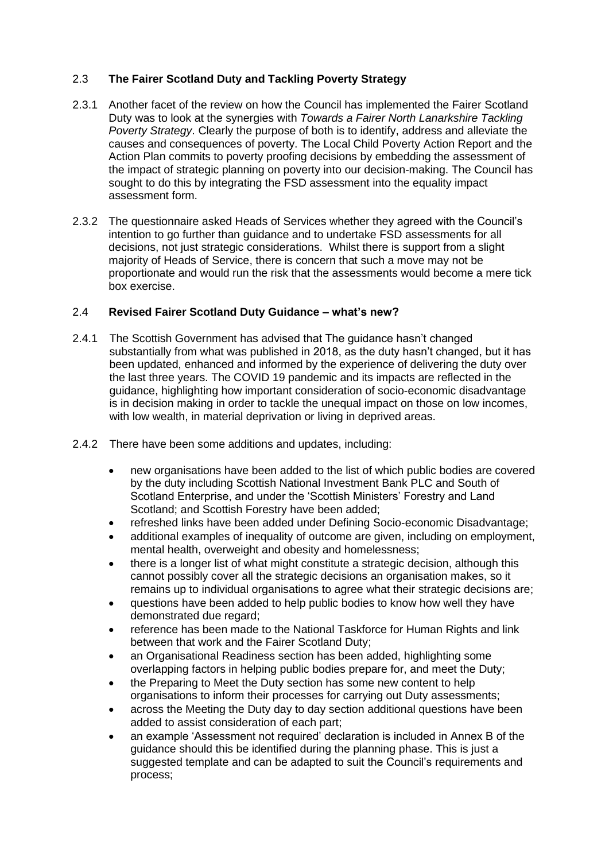# 2.3 **The Fairer Scotland Duty and Tackling Poverty Strategy**

- 2.3.1 Another facet of the review on how the Council has implemented the Fairer Scotland Duty was to look at the synergies with *Towards a Fairer North Lanarkshire Tackling Poverty Strategy*. Clearly the purpose of both is to identify, address and alleviate the causes and consequences of poverty. The Local Child Poverty Action Report and the Action Plan commits to poverty proofing decisions by embedding the assessment of the impact of strategic planning on poverty into our decision-making. The Council has sought to do this by integrating the FSD assessment into the equality impact assessment form.
- 2.3.2 The questionnaire asked Heads of Services whether they agreed with the Council's intention to go further than guidance and to undertake FSD assessments for all decisions, not just strategic considerations. Whilst there is support from a slight majority of Heads of Service, there is concern that such a move may not be proportionate and would run the risk that the assessments would become a mere tick box exercise.

#### 2.4 **Revised Fairer Scotland Duty Guidance – what's new?**

- 2.4.1 The Scottish Government has advised that The guidance hasn't changed substantially from what was published in 2018, as the duty hasn't changed, but it has been updated, enhanced and informed by the experience of delivering the duty over the last three years. The COVID 19 pandemic and its impacts are reflected in the guidance, highlighting how important consideration of socio-economic disadvantage is in decision making in order to tackle the unequal impact on those on low incomes, with low wealth, in material deprivation or living in deprived areas.
- 2.4.2 There have been some additions and updates, including:
	- new organisations have been added to the list of which public bodies are covered by the duty including Scottish National Investment Bank PLC and South of Scotland Enterprise, and under the 'Scottish Ministers' Forestry and Land Scotland; and Scottish Forestry have been added;
	- refreshed links have been added under Defining Socio-economic Disadvantage;
	- additional examples of inequality of outcome are given, including on employment, mental health, overweight and obesity and homelessness;
	- there is a longer list of what might constitute a strategic decision, although this cannot possibly cover all the strategic decisions an organisation makes, so it remains up to individual organisations to agree what their strategic decisions are;
	- questions have been added to help public bodies to know how well they have demonstrated due regard;
	- reference has been made to the National Taskforce for Human Rights and link between that work and the Fairer Scotland Duty;
	- an Organisational Readiness section has been added, highlighting some overlapping factors in helping public bodies prepare for, and meet the Duty;
	- the Preparing to Meet the Duty section has some new content to help organisations to inform their processes for carrying out Duty assessments;
	- across the Meeting the Duty day to day section additional questions have been added to assist consideration of each part;
	- an example 'Assessment not required' declaration is included in Annex B of the guidance should this be identified during the planning phase. This is just a suggested template and can be adapted to suit the Council's requirements and process;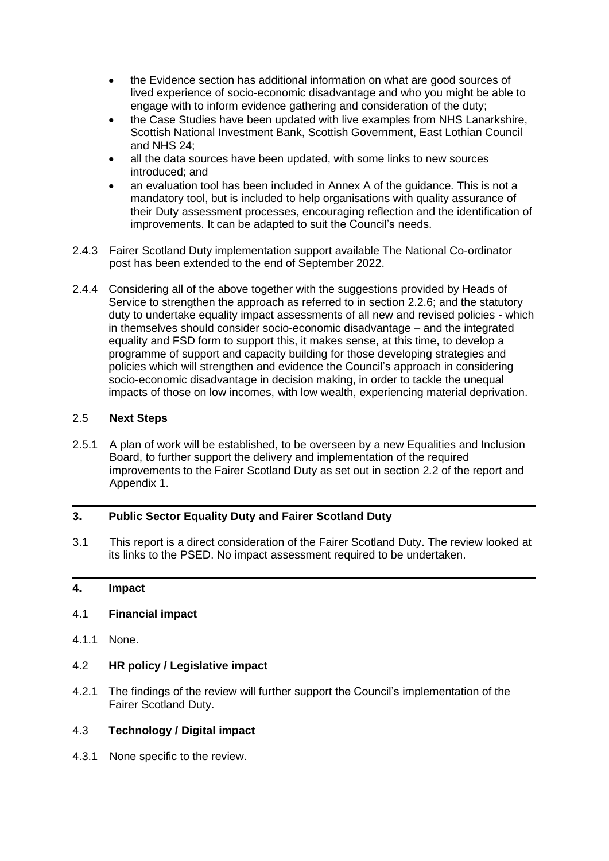- the Evidence section has additional information on what are good sources of lived experience of socio-economic disadvantage and who you might be able to engage with to inform evidence gathering and consideration of the duty;
- the Case Studies have been updated with live examples from NHS Lanarkshire. Scottish National Investment Bank, Scottish Government, East Lothian Council and NHS 24;
- all the data sources have been updated, with some links to new sources introduced; and
- an evaluation tool has been included in Annex A of the guidance. This is not a mandatory tool, but is included to help organisations with quality assurance of their Duty assessment processes, encouraging reflection and the identification of improvements. It can be adapted to suit the Council's needs.
- 2.4.3 Fairer Scotland Duty implementation support available The National Co-ordinator post has been extended to the end of September 2022.
- 2.4.4 Considering all of the above together with the suggestions provided by Heads of Service to strengthen the approach as referred to in section 2.2.6; and the statutory duty to undertake equality impact assessments of all new and revised policies - which in themselves should consider socio-economic disadvantage – and the integrated equality and FSD form to support this, it makes sense, at this time, to develop a programme of support and capacity building for those developing strategies and policies which will strengthen and evidence the Council's approach in considering socio-economic disadvantage in decision making, in order to tackle the unequal impacts of those on low incomes, with low wealth, experiencing material deprivation.

## 2.5 **Next Steps**

2.5.1 A plan of work will be established, to be overseen by a new Equalities and Inclusion Board, to further support the delivery and implementation of the required improvements to the Fairer Scotland Duty as set out in section 2.2 of the report and Appendix 1.

# **3. Public Sector Equality Duty and Fairer Scotland Duty**

3.1 This report is a direct consideration of the Fairer Scotland Duty. The review looked at its links to the PSED. No impact assessment required to be undertaken.

#### **4. Impact**

#### 4.1 **Financial impact**

4.1.1 None.

#### 4.2 **HR policy / Legislative impact**

4.2.1 The findings of the review will further support the Council's implementation of the Fairer Scotland Duty.

#### 4.3 **Technology / Digital impact**

4.3.1 None specific to the review.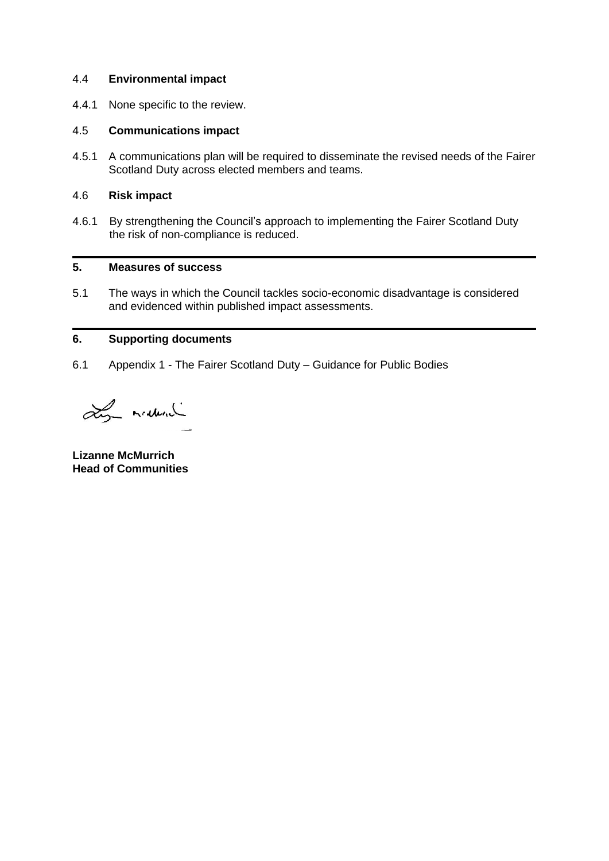#### 4.4 **Environmental impact**

4.4.1 None specific to the review.

#### 4.5 **Communications impact**

4.5.1 A communications plan will be required to disseminate the revised needs of the Fairer Scotland Duty across elected members and teams.

#### 4.6 **Risk impact**

4.6.1 By strengthening the Council's approach to implementing the Fairer Scotland Duty the risk of non-compliance is reduced.

## **5. Measures of success**

5.1 The ways in which the Council tackles socio-economic disadvantage is considered and evidenced within published impact assessments.

#### **6. Supporting documents**

6.1 Appendix 1 - The Fairer Scotland Duty – Guidance for Public Bodies

Ly manual

**Lizanne McMurrich Head of Communities**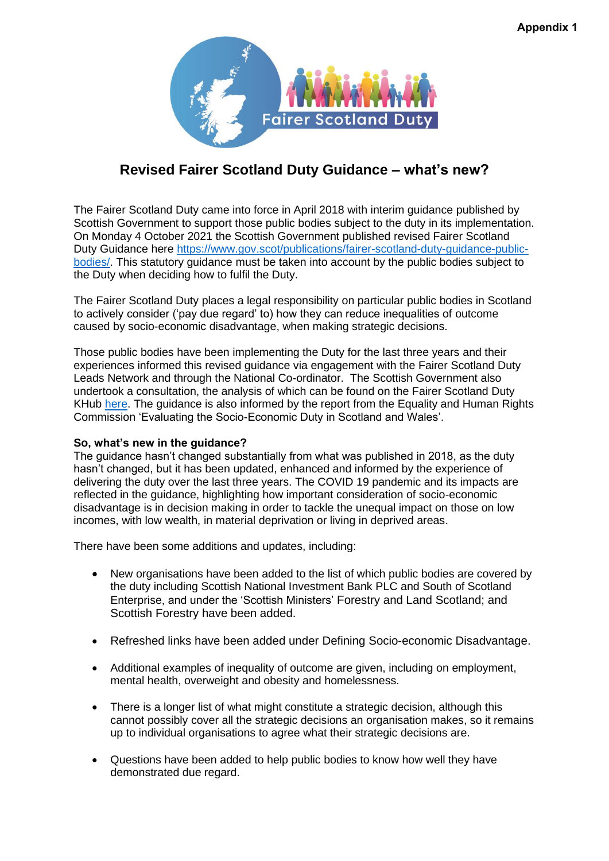

# **Revised Fairer Scotland Duty Guidance – what's new?**

The Fairer Scotland Duty came into force in April 2018 with interim guidance published by Scottish Government to support those public bodies subject to the duty in its implementation. On Monday 4 October 2021 the Scottish Government published revised Fairer Scotland Duty Guidance here [https://www.gov.scot/publications/fairer-scotland-duty-guidance-public](https://www.gov.scot/publications/fairer-scotland-duty-guidance-public-bodies/)[bodies/.](https://www.gov.scot/publications/fairer-scotland-duty-guidance-public-bodies/) This statutory guidance must be taken into account by the public bodies subject to the Duty when deciding how to fulfil the Duty.

The Fairer Scotland Duty places a legal responsibility on particular public bodies in Scotland to actively consider ('pay due regard' to) how they can reduce inequalities of outcome caused by socio-economic disadvantage, when making strategic decisions.

Those public bodies have been implementing the Duty for the last three years and their experiences informed this revised guidance via engagement with the Fairer Scotland Duty Leads Network and through the National Co-ordinator. The Scottish Government also undertook a consultation, the analysis of which can be found on the Fairer Scotland Duty KHub [here.](https://www.khub.net/group/fairer-scotland-duty/group-library/-/document_library/Sz8Ah1O1ukgg/view/155999460?_com_liferay_document_library_web_portlet_DLPortlet_INSTANCE_Sz8Ah1O1ukgg_navigation=home&_com_liferay_document_library_web_portlet_DLPortlet_INSTANCE_Sz8Ah1O1ukgg_orderByCol=creationDate&_com_liferay_document_library_web_portlet_DLPortlet_INSTANCE_Sz8Ah1O1ukgg_orderByType=desc&_com_liferay_document_library_web_portlet_DLPortlet_INSTANCE_Sz8Ah1O1ukgg_fileEntryTypeId=-1) The guidance is also informed by the report from the Equality and Human Rights Commission 'Evaluating the Socio-Economic Duty in Scotland and Wales'.

#### **So, what's new in the guidance?**

The guidance hasn't changed substantially from what was published in 2018, as the duty hasn't changed, but it has been updated, enhanced and informed by the experience of delivering the duty over the last three years. The COVID 19 pandemic and its impacts are reflected in the guidance, highlighting how important consideration of socio-economic disadvantage is in decision making in order to tackle the unequal impact on those on low incomes, with low wealth, in material deprivation or living in deprived areas.

There have been some additions and updates, including:

- New organisations have been added to the list of which public bodies are covered by the duty including Scottish National Investment Bank PLC and South of Scotland Enterprise, and under the 'Scottish Ministers' Forestry and Land Scotland; and Scottish Forestry have been added.
- Refreshed links have been added under Defining Socio-economic Disadvantage.
- Additional examples of inequality of outcome are given, including on employment, mental health, overweight and obesity and homelessness.
- There is a longer list of what might constitute a strategic decision, although this cannot possibly cover all the strategic decisions an organisation makes, so it remains up to individual organisations to agree what their strategic decisions are.
- Questions have been added to help public bodies to know how well they have demonstrated due regard.